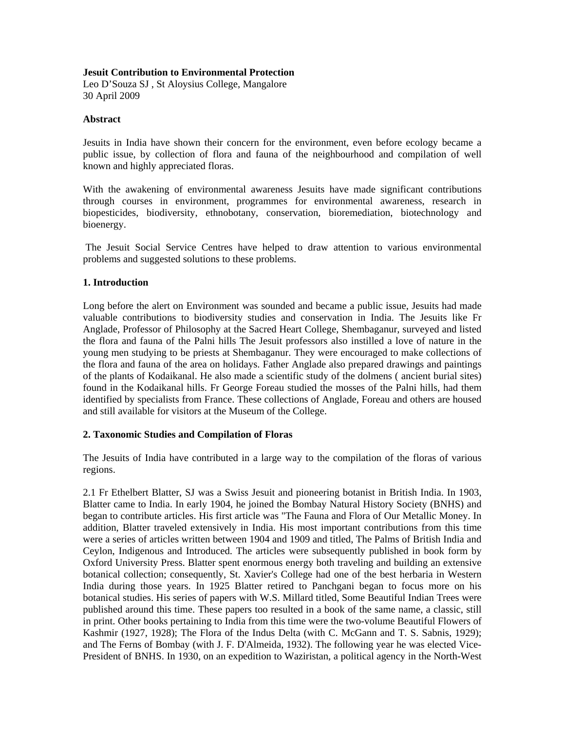## **Jesuit Contribution to Environmental Protection**

Leo D'Souza SJ , St Aloysius College, Mangalore 30 April 2009

### **Abstract**

Jesuits in India have shown their concern for the environment, even before ecology became a public issue, by collection of flora and fauna of the neighbourhood and compilation of well known and highly appreciated floras.

With the awakening of environmental awareness Jesuits have made significant contributions through courses in environment, programmes for environmental awareness, research in biopesticides, biodiversity, ethnobotany, conservation, bioremediation, biotechnology and bioenergy.

 The Jesuit Social Service Centres have helped to draw attention to various environmental problems and suggested solutions to these problems.

## **1. Introduction**

Long before the alert on Environment was sounded and became a public issue, Jesuits had made valuable contributions to biodiversity studies and conservation in India. The Jesuits like Fr Anglade, Professor of Philosophy at the Sacred Heart College, Shembaganur, surveyed and listed the flora and fauna of the Palni hills The Jesuit professors also instilled a love of nature in the young men studying to be priests at Shembaganur. They were encouraged to make collections of the flora and fauna of the area on holidays. Father Anglade also prepared drawings and paintings of the plants of Kodaikanal. He also made a scientific study of the dolmens ( ancient burial sites) found in the Kodaikanal hills. Fr George Foreau studied the mosses of the Palni hills, had them identified by specialists from France. These collections of Anglade, Foreau and others are housed and still available for visitors at the Museum of the College.

# **2. Taxonomic Studies and Compilation of Floras**

The Jesuits of India have contributed in a large way to the compilation of the floras of various regions.

2.1 Fr Ethelbert Blatter, SJ was a Swiss Jesuit and pioneering botanist in British India. In 1903, Blatter came to India. In early 1904, he joined the Bombay Natural History Society (BNHS) and began to contribute articles. His first article was "The Fauna and Flora of Our Metallic Money. In addition, Blatter traveled extensively in India. His most important contributions from this time were a series of articles written between 1904 and 1909 and titled, The Palms of British India and Ceylon, Indigenous and Introduced. The articles were subsequently published in book form by Oxford University Press. Blatter spent enormous energy both traveling and building an extensive botanical collection; consequently, St. Xavier's College had one of the best herbaria in Western India during those years. In 1925 Blatter retired to Panchgani began to focus more on his botanical studies. His series of papers with W.S. Millard titled, Some Beautiful Indian Trees were published around this time. These papers too resulted in a book of the same name, a classic, still in print. Other books pertaining to India from this time were the two-volume Beautiful Flowers of Kashmir (1927, 1928); The Flora of the Indus Delta (with C. McGann and T. S. Sabnis, 1929); and The Ferns of Bombay (with J. F. D'Almeida, 1932). The following year he was elected Vice-President of BNHS. In 1930, on an expedition to Waziristan, a political agency in the North-West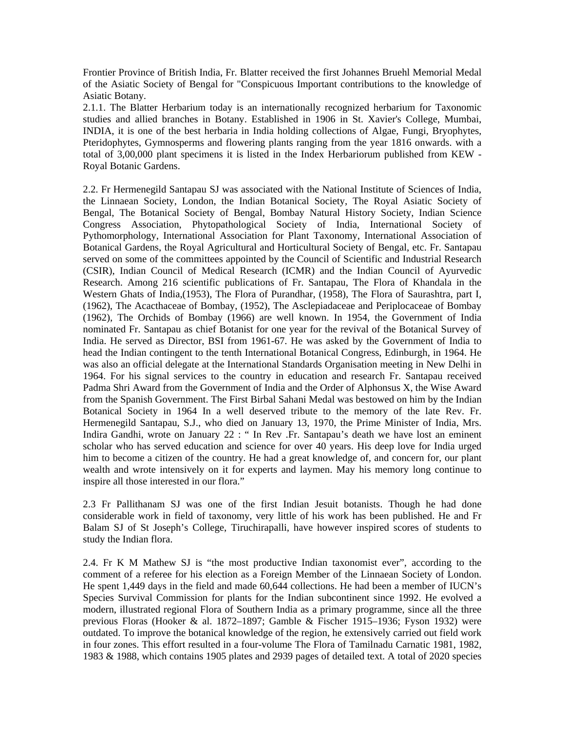Frontier Province of British India, Fr. Blatter received the first Johannes Bruehl Memorial Medal of the Asiatic Society of Bengal for "Conspicuous Important contributions to the knowledge of Asiatic Botany.

2.1.1. The Blatter Herbarium today is an internationally recognized herbarium for Taxonomic studies and allied branches in Botany. Established in 1906 in St. Xavier's College, Mumbai, INDIA, it is one of the best herbaria in India holding collections of Algae, Fungi, Bryophytes, Pteridophytes, Gymnosperms and flowering plants ranging from the year 1816 onwards. with a total of 3,00,000 plant specimens it is listed in the Index Herbariorum published from KEW - Royal Botanic Gardens.

2.2. Fr Hermenegild Santapau SJ was associated with the National Institute of Sciences of India, the Linnaean Society, London, the Indian Botanical Society, The Royal Asiatic Society of Bengal, The Botanical Society of Bengal, Bombay Natural History Society, Indian Science Congress Association, Phytopathological Society of India, International Society of Pythomorphology, International Association for Plant Taxonomy, International Association of Botanical Gardens, the Royal Agricultural and Horticultural Society of Bengal, etc. Fr. Santapau served on some of the committees appointed by the Council of Scientific and Industrial Research (CSIR), Indian Council of Medical Research (ICMR) and the Indian Council of Ayurvedic Research. Among 216 scientific publications of Fr. Santapau, The Flora of Khandala in the Western Ghats of India,(1953), The Flora of Purandhar, (1958), The Flora of Saurashtra, part I, (1962), The Acacthaceae of Bombay, (1952), The Asclepiadaceae and Periplocaceae of Bombay (1962), The Orchids of Bombay (1966) are well known. In 1954, the Government of India nominated Fr. Santapau as chief Botanist for one year for the revival of the Botanical Survey of India. He served as Director, BSI from 1961-67. He was asked by the Government of India to head the Indian contingent to the tenth International Botanical Congress, Edinburgh, in 1964. He was also an official delegate at the International Standards Organisation meeting in New Delhi in 1964. For his signal services to the country in education and research Fr. Santapau received Padma Shri Award from the Government of India and the Order of Alphonsus X, the Wise Award from the Spanish Government. The First Birbal Sahani Medal was bestowed on him by the Indian Botanical Society in 1964 In a well deserved tribute to the memory of the late Rev. Fr. Hermenegild Santapau, S.J., who died on January 13, 1970, the Prime Minister of India, Mrs. Indira Gandhi, wrote on January 22 : " In Rev .Fr. Santapau's death we have lost an eminent scholar who has served education and science for over 40 years. His deep love for India urged him to become a citizen of the country. He had a great knowledge of, and concern for, our plant wealth and wrote intensively on it for experts and laymen. May his memory long continue to inspire all those interested in our flora."

2.3 Fr Pallithanam SJ was one of the first Indian Jesuit botanists. Though he had done considerable work in field of taxonomy, very little of his work has been published. He and Fr Balam SJ of St Joseph's College, Tiruchirapalli, have however inspired scores of students to study the Indian flora.

2.4. Fr K M Mathew SJ is "the most productive Indian taxonomist ever", according to the comment of a referee for his election as a Foreign Member of the Linnaean Society of London. He spent 1,449 days in the field and made 60,644 collections. He had been a member of IUCN's Species Survival Commission for plants for the Indian subcontinent since 1992. He evolved a modern, illustrated regional Flora of Southern India as a primary programme, since all the three previous Floras (Hooker & al. 1872–1897; Gamble & Fischer 1915–1936; Fyson 1932) were outdated. To improve the botanical knowledge of the region, he extensively carried out field work in four zones. This effort resulted in a four-volume The Flora of Tamilnadu Carnatic 1981, 1982, 1983 & 1988, which contains 1905 plates and 2939 pages of detailed text. A total of 2020 species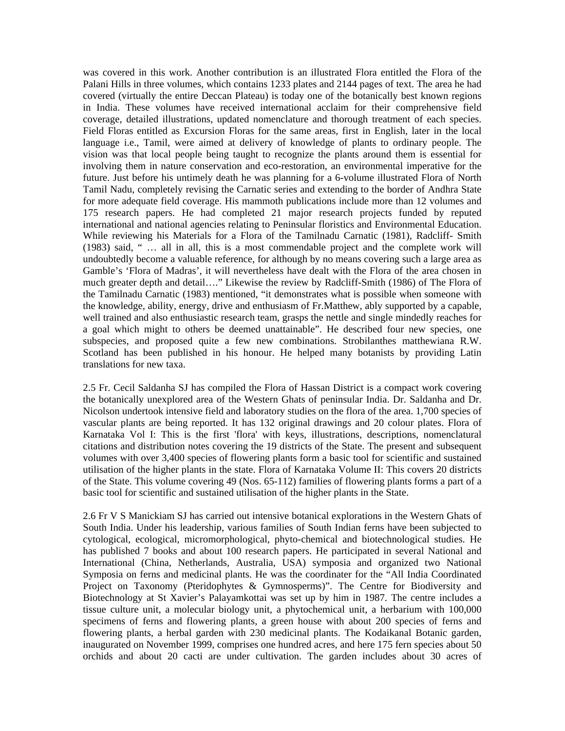was covered in this work. Another contribution is an illustrated Flora entitled the Flora of the Palani Hills in three volumes, which contains 1233 plates and 2144 pages of text. The area he had covered (virtually the entire Deccan Plateau) is today one of the botanically best known regions in India. These volumes have received international acclaim for their comprehensive field coverage, detailed illustrations, updated nomenclature and thorough treatment of each species. Field Floras entitled as Excursion Floras for the same areas, first in English, later in the local language i.e., Tamil, were aimed at delivery of knowledge of plants to ordinary people. The vision was that local people being taught to recognize the plants around them is essential for involving them in nature conservation and eco-restoration, an environmental imperative for the future. Just before his untimely death he was planning for a 6-volume illustrated Flora of North Tamil Nadu, completely revising the Carnatic series and extending to the border of Andhra State for more adequate field coverage. His mammoth publications include more than 12 volumes and 175 research papers. He had completed 21 major research projects funded by reputed international and national agencies relating to Peninsular floristics and Environmental Education. While reviewing his Materials for a Flora of the Tamilnadu Carnatic (1981), Radcliff- Smith (1983) said, " … all in all, this is a most commendable project and the complete work will undoubtedly become a valuable reference, for although by no means covering such a large area as Gamble's 'Flora of Madras', it will nevertheless have dealt with the Flora of the area chosen in much greater depth and detail…." Likewise the review by Radcliff-Smith (1986) of The Flora of the Tamilnadu Carnatic (1983) mentioned, "it demonstrates what is possible when someone with the knowledge, ability, energy, drive and enthusiasm of Fr.Matthew, ably supported by a capable, well trained and also enthusiastic research team, grasps the nettle and single mindedly reaches for a goal which might to others be deemed unattainable". He described four new species, one subspecies, and proposed quite a few new combinations. Strobilanthes matthewiana R.W. Scotland has been published in his honour. He helped many botanists by providing Latin translations for new taxa.

2.5 Fr. Cecil Saldanha SJ has compiled the Flora of Hassan District is a compact work covering the botanically unexplored area of the Western Ghats of peninsular India. Dr. Saldanha and Dr. Nicolson undertook intensive field and laboratory studies on the flora of the area. 1,700 species of vascular plants are being reported. It has 132 original drawings and 20 colour plates. Flora of Karnataka Vol I: This is the first 'flora' with keys, illustrations, descriptions, nomenclatural citations and distribution notes covering the 19 districts of the State. The present and subsequent volumes with over 3,400 species of flowering plants form a basic tool for scientific and sustained utilisation of the higher plants in the state. Flora of Karnataka Volume II: This covers 20 districts of the State. This volume covering 49 (Nos. 65-112) families of flowering plants forms a part of a basic tool for scientific and sustained utilisation of the higher plants in the State.

2.6 Fr V S Manickiam SJ has carried out intensive botanical explorations in the Western Ghats of South India. Under his leadership, various families of South Indian ferns have been subjected to cytological, ecological, micromorphological, phyto-chemical and biotechnological studies. He has published 7 books and about 100 research papers. He participated in several National and International (China, Netherlands, Australia, USA) symposia and organized two National Symposia on ferns and medicinal plants. He was the coordinater for the "All India Coordinated Project on Taxonomy (Pteridophytes & Gymnosperms)". The Centre for Biodiversity and Biotechnology at St Xavier's Palayamkottai was set up by him in 1987. The centre includes a tissue culture unit, a molecular biology unit, a phytochemical unit, a herbarium with 100,000 specimens of ferns and flowering plants, a green house with about 200 species of ferns and flowering plants, a herbal garden with 230 medicinal plants. The Kodaikanal Botanic garden, inaugurated on November 1999, comprises one hundred acres, and here 175 fern species about 50 orchids and about 20 cacti are under cultivation. The garden includes about 30 acres of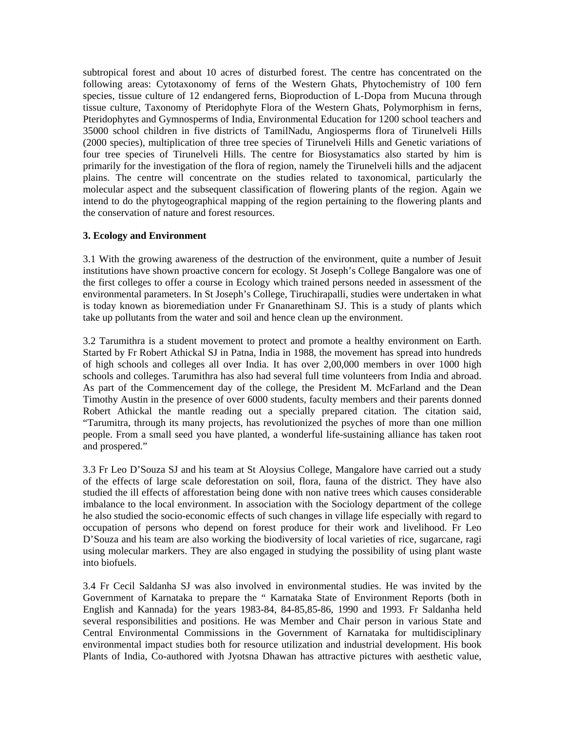subtropical forest and about 10 acres of disturbed forest. The centre has concentrated on the following areas: Cytotaxonomy of ferns of the Western Ghats, Phytochemistry of 100 fern species, tissue culture of 12 endangered ferns, Bioproduction of L-Dopa from Mucuna through tissue culture, Taxonomy of Pteridophyte Flora of the Western Ghats, Polymorphism in ferns, Pteridophytes and Gymnosperms of India, Environmental Education for 1200 school teachers and 35000 school children in five districts of TamilNadu, Angiosperms flora of Tirunelveli Hills (2000 species), multiplication of three tree species of Tirunelveli Hills and Genetic variations of four tree species of Tirunelveli Hills. The centre for Biosystamatics also started by him is primarily for the investigation of the flora of region, namely the Tirunelveli hills and the adjacent plains. The centre will concentrate on the studies related to taxonomical, particularly the molecular aspect and the subsequent classification of flowering plants of the region. Again we intend to do the phytogeographical mapping of the region pertaining to the flowering plants and the conservation of nature and forest resources.

# **3. Ecology and Environment**

3.1 With the growing awareness of the destruction of the environment, quite a number of Jesuit institutions have shown proactive concern for ecology. St Joseph's College Bangalore was one of the first colleges to offer a course in Ecology which trained persons needed in assessment of the environmental parameters. In St Joseph's College, Tiruchirapalli, studies were undertaken in what is today known as bioremediation under Fr Gnanarethinam SJ. This is a study of plants which take up pollutants from the water and soil and hence clean up the environment.

3.2 Tarumithra is a student movement to protect and promote a healthy environment on Earth. Started by Fr Robert Athickal SJ in Patna, India in 1988, the movement has spread into hundreds of high schools and colleges all over India. It has over 2,00,000 members in over 1000 high schools and colleges. Tarumithra has also had several full time volunteers from India and abroad. As part of the Commencement day of the college, the President M. McFarland and the Dean Timothy Austin in the presence of over 6000 students, faculty members and their parents donned Robert Athickal the mantle reading out a specially prepared citation. The citation said, "Tarumitra, through its many projects, has revolutionized the psyches of more than one million people. From a small seed you have planted, a wonderful life-sustaining alliance has taken root and prospered."

3.3 Fr Leo D'Souza SJ and his team at St Aloysius College, Mangalore have carried out a study of the effects of large scale deforestation on soil, flora, fauna of the district. They have also studied the ill effects of afforestation being done with non native trees which causes considerable imbalance to the local environment. In association with the Sociology department of the college he also studied the socio-economic effects of such changes in village life especially with regard to occupation of persons who depend on forest produce for their work and livelihood. Fr Leo D'Souza and his team are also working the biodiversity of local varieties of rice, sugarcane, ragi using molecular markers. They are also engaged in studying the possibility of using plant waste into biofuels.

3.4 Fr Cecil Saldanha SJ was also involved in environmental studies. He was invited by the Government of Karnataka to prepare the " Karnataka State of Environment Reports (both in English and Kannada) for the years 1983-84, 84-85,85-86, 1990 and 1993. Fr Saldanha held several responsibilities and positions. He was Member and Chair person in various State and Central Environmental Commissions in the Government of Karnataka for multidisciplinary environmental impact studies both for resource utilization and industrial development. His book Plants of India, Co-authored with Jyotsna Dhawan has attractive pictures with aesthetic value,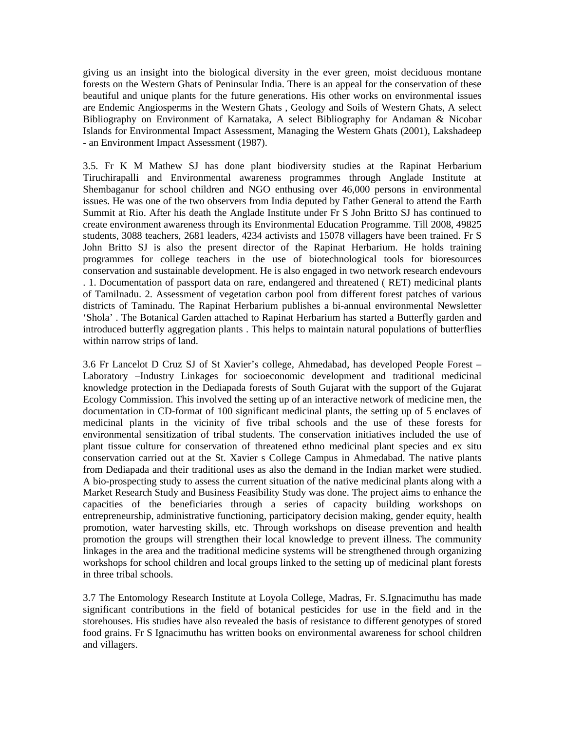giving us an insight into the biological diversity in the ever green, moist deciduous montane forests on the Western Ghats of Peninsular India. There is an appeal for the conservation of these beautiful and unique plants for the future generations. His other works on environmental issues are Endemic Angiosperms in the Western Ghats , Geology and Soils of Western Ghats, A select Bibliography on Environment of Karnataka, A select Bibliography for Andaman & Nicobar Islands for Environmental Impact Assessment, Managing the Western Ghats (2001), Lakshadeep - an Environment Impact Assessment (1987).

3.5. Fr K M Mathew SJ has done plant biodiversity studies at the Rapinat Herbarium Tiruchirapalli and Environmental awareness programmes through Anglade Institute at Shembaganur for school children and NGO enthusing over 46,000 persons in environmental issues. He was one of the two observers from India deputed by Father General to attend the Earth Summit at Rio. After his death the Anglade Institute under Fr S John Britto SJ has continued to create environment awareness through its Environmental Education Programme. Till 2008, 49825 students, 3088 teachers, 2681 leaders, 4234 activists and 15078 villagers have been trained. Fr S John Britto SJ is also the present director of the Rapinat Herbarium. He holds training programmes for college teachers in the use of biotechnological tools for bioresources conservation and sustainable development. He is also engaged in two network research endevours . 1. Documentation of passport data on rare, endangered and threatened ( RET) medicinal plants of Tamilnadu. 2. Assessment of vegetation carbon pool from different forest patches of various districts of Taminadu. The Rapinat Herbarium publishes a bi-annual environmental Newsletter 'Shola' . The Botanical Garden attached to Rapinat Herbarium has started a Butterfly garden and introduced butterfly aggregation plants . This helps to maintain natural populations of butterflies within narrow strips of land.

3.6 Fr Lancelot D Cruz SJ of St Xavier's college, Ahmedabad, has developed People Forest – Laboratory –Industry Linkages for socioeconomic development and traditional medicinal knowledge protection in the Dediapada forests of South Gujarat with the support of the Gujarat Ecology Commission. This involved the setting up of an interactive network of medicine men, the documentation in CD-format of 100 significant medicinal plants, the setting up of 5 enclaves of medicinal plants in the vicinity of five tribal schools and the use of these forests for environmental sensitization of tribal students. The conservation initiatives included the use of plant tissue culture for conservation of threatened ethno medicinal plant species and ex situ conservation carried out at the St. Xavier s College Campus in Ahmedabad. The native plants from Dediapada and their traditional uses as also the demand in the Indian market were studied. A bio-prospecting study to assess the current situation of the native medicinal plants along with a Market Research Study and Business Feasibility Study was done. The project aims to enhance the capacities of the beneficiaries through a series of capacity building workshops on entrepreneurship, administrative functioning, participatory decision making, gender equity, health promotion, water harvesting skills, etc. Through workshops on disease prevention and health promotion the groups will strengthen their local knowledge to prevent illness. The community linkages in the area and the traditional medicine systems will be strengthened through organizing workshops for school children and local groups linked to the setting up of medicinal plant forests in three tribal schools.

3.7 The Entomology Research Institute at Loyola College, Madras, Fr. S.Ignacimuthu has made significant contributions in the field of botanical pesticides for use in the field and in the storehouses. His studies have also revealed the basis of resistance to different genotypes of stored food grains. Fr S Ignacimuthu has written books on environmental awareness for school children and villagers.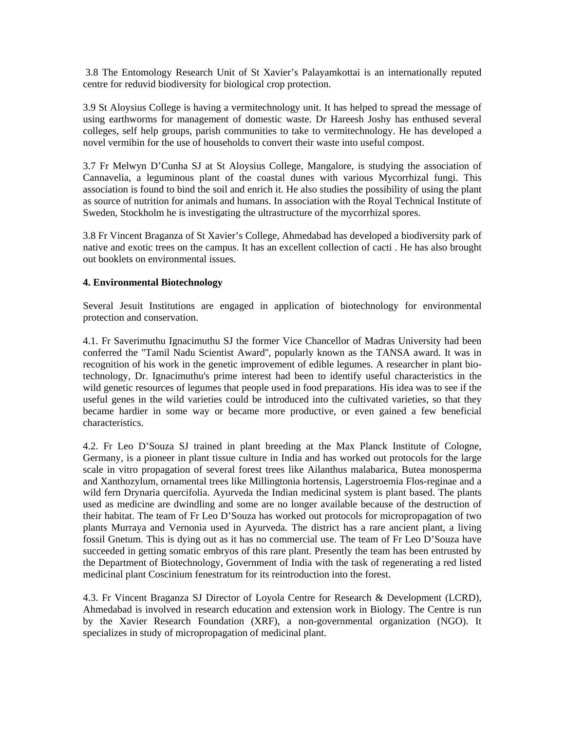3.8 The Entomology Research Unit of St Xavier's Palayamkottai is an internationally reputed centre for reduvid biodiversity for biological crop protection.

3.9 St Aloysius College is having a vermitechnology unit. It has helped to spread the message of using earthworms for management of domestic waste. Dr Hareesh Joshy has enthused several colleges, self help groups, parish communities to take to vermitechnology. He has developed a novel vermibin for the use of households to convert their waste into useful compost.

3.7 Fr Melwyn D'Cunha SJ at St Aloysius College, Mangalore, is studying the association of Cannavelia, a leguminous plant of the coastal dunes with various Mycorrhizal fungi. This association is found to bind the soil and enrich it. He also studies the possibility of using the plant as source of nutrition for animals and humans. In association with the Royal Technical Institute of Sweden, Stockholm he is investigating the ultrastructure of the mycorrhizal spores.

3.8 Fr Vincent Braganza of St Xavier's College, Ahmedabad has developed a biodiversity park of native and exotic trees on the campus. It has an excellent collection of cacti . He has also brought out booklets on environmental issues.

# **4. Environmental Biotechnology**

Several Jesuit Institutions are engaged in application of biotechnology for environmental protection and conservation.

4.1. Fr Saverimuthu Ignacimuthu SJ the former Vice Chancellor of Madras University had been conferred the "Tamil Nadu Scientist Award'', popularly known as the TANSA award. It was in recognition of his work in the genetic improvement of edible legumes. A researcher in plant biotechnology, Dr. Ignacimuthu's prime interest had been to identify useful characteristics in the wild genetic resources of legumes that people used in food preparations. His idea was to see if the useful genes in the wild varieties could be introduced into the cultivated varieties, so that they became hardier in some way or became more productive, or even gained a few beneficial characteristics.

4.2. Fr Leo D'Souza SJ trained in plant breeding at the Max Planck Institute of Cologne, Germany, is a pioneer in plant tissue culture in India and has worked out protocols for the large scale in vitro propagation of several forest trees like Ailanthus malabarica, Butea monosperma and Xanthozylum, ornamental trees like Millingtonia hortensis, Lagerstroemia Flos-reginae and a wild fern Drynaria quercifolia. Ayurveda the Indian medicinal system is plant based. The plants used as medicine are dwindling and some are no longer available because of the destruction of their habitat. The team of Fr Leo D'Souza has worked out protocols for micropropagation of two plants Murraya and Vernonia used in Ayurveda. The district has a rare ancient plant, a living fossil Gnetum. This is dying out as it has no commercial use. The team of Fr Leo D'Souza have succeeded in getting somatic embryos of this rare plant. Presently the team has been entrusted by the Department of Biotechnology, Government of India with the task of regenerating a red listed medicinal plant Coscinium fenestratum for its reintroduction into the forest.

4.3. Fr Vincent Braganza SJ Director of Loyola Centre for Research & Development (LCRD), Ahmedabad is involved in research education and extension work in Biology. The Centre is run by the Xavier Research Foundation (XRF), a non-governmental organization (NGO). It specializes in study of micropropagation of medicinal plant.